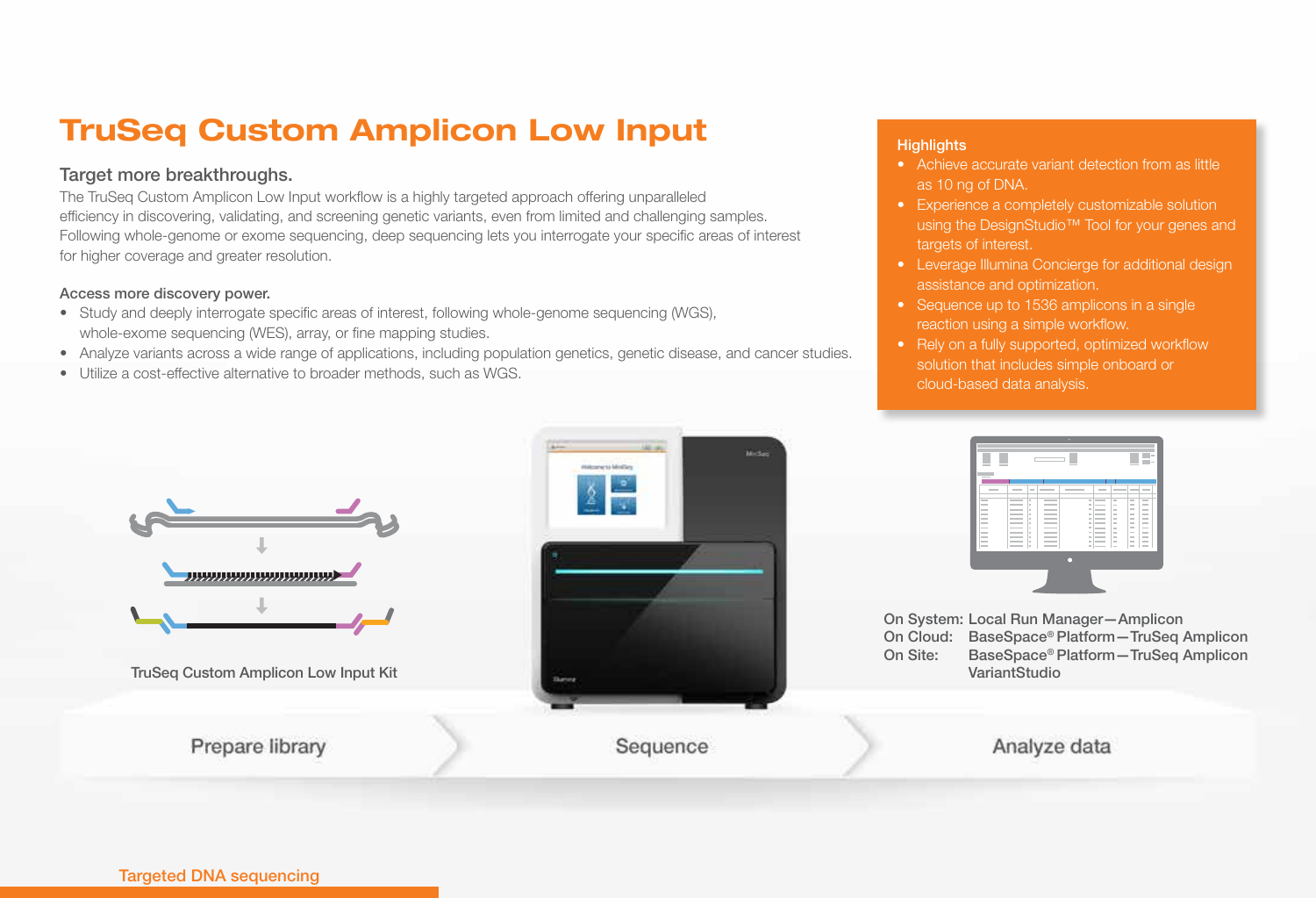# TruSeq Custom Amplicon Low Input

## Target more breakthroughs.

The TruSeq Custom Amplicon Low Input workflow is a highly targeted approach offering unparalleled efficiency in discovering, validating, and screening genetic variants, even from limited and challenging samples. Following whole-genome or exome sequencing, deep sequencing lets you interrogate your specific areas of interest for higher coverage and greater resolution.

#### Access more discovery power.

- Study and deeply interrogate specific areas of interest, following whole-genome sequencing (WGS), whole-exome sequencing (WES), array, or fine mapping studies.
- Analyze variants across a wide range of applications, including population genetics, genetic disease, and cancer studies.
- Utilize a cost-effective alternative to broader methods, such as WGS.

#### **Highlights**

- Achieve accurate variant detection from as little as 10 ng of DNA.
- Experience a completely customizable solution using the DesignStudio™ Tool for your genes and targets of interest.
- Leverage Illumina Concierge for additional design assistance and optimization.
- Sequence up to 1536 amplicons in a single reaction using a simple workflow.
- Rely on a fully supported, optimized workflow solution that includes simple onboard or cloud-based data analysis.



#### Targeted DNA sequencing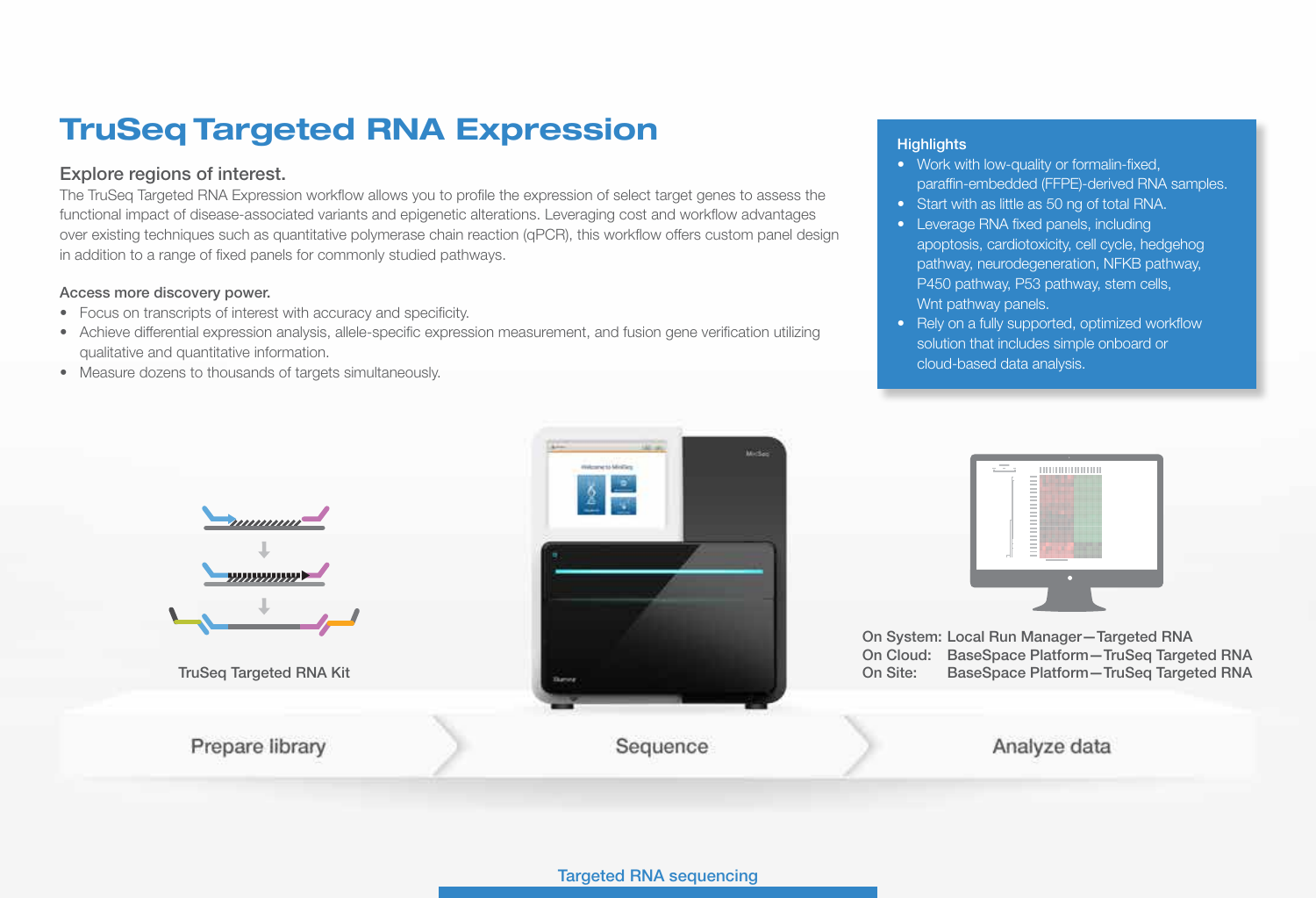# TruSeq Targeted RNA Expression

## Explore regions of interest.

The TruSeq Targeted RNA Expression workflow allows you to profile the expression of select target genes to assess the functional impact of disease-associated variants and epigenetic alterations. Leveraging cost and workflow advantages over existing techniques such as quantitative polymerase chain reaction (qPCR), this workflow offers custom panel design in addition to a range of fixed panels for commonly studied pathways.

#### Access more discovery power.

- Focus on transcripts of interest with accuracy and specificity.
- Achieve differential expression analysis, allele-specific expression measurement, and fusion gene verification utilizing qualitative and quantitative information.
- Measure dozens to thousands of targets simultaneously.

### **Highlights**

- Work with low-quality or formalin-fixed, paraffin-embedded (FFPE)-derived RNA samples.
- Start with as little as 50 ng of total RNA.
- Leverage RNA fixed panels, including apoptosis, cardiotoxicity, cell cycle, hedgehog pathway, neurodegeneration, NFKB pathway, P450 pathway, P53 pathway, stem cells, Wnt pathway panels.
- Rely on a fully supported, optimized workflow solution that includes simple onboard or cloud-based data analysis.